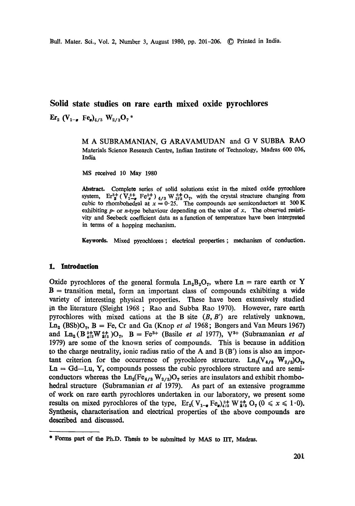Bull. Mater. Sci., Vol. 2, Number 3, August 1980, pp. 201-206. © Printed in India.

# **Solid state studies on rare earth mixed oxide pyroehlores**

 $\rm{Er}_{2}$  (V<sub>1- $\sigma$ </sub> Fe<sub>g</sub>)<sub>4/3</sub> W<sub>2/3</sub>O<sub>7</sub> \*

M A SUBRAMANIAN, G ARAVAMUDAN and G V SUBBA RAO Materials Science Research Centre, Indian Institute of Technology, Madras 600 036, India

MS received 10 May 1980

Abstract. Complete series of solid solutions exist in the mixed oxide pyrochlore system,  $Er^3 + (V^{3+}_{1-\sigma} Fe^{3+}_{\sigma})_{4/3} W^{6+}_{2/3} O_7$ , with the crystal structure changing from cubic to rhombohedral at  $x = 0.25$ . The compounds are semiconductors at 300 K exhibiting  $p$ - or *n*-type behaviour depending on the value of x. The observed resistivity and Seebeck coefficient data as a function of temperature have been interpreted in terms of a hopping mechanism.

Keywords. Mixed pyroehlores ; electrical properties ; mechanism of conduction.

#### **1. Introduction**

Oxide pyrochlores of the general formula  $Ln_2B_2O_7$ , where  $Ln =$  rare earth or Y  $B =$  transition metal, form an important class of compounds exhibiting a wide variety of interesting physical properties. These have been extensively studied in the literature (Sleight 1968; Rao and Subba Rao 1970). However, rare earth pyrochlores with mixed cations at the B site *(B,B')* are relatively unknown.  $\text{Ln}_2$  (BSb) $\text{O}_7$ ,  $\text{B} = \text{Fe}$ , Cr and Ga (Knop *et al* 1968; Bongers and Van Meurs 1967) and Ln<sub>2</sub> (B<sup>3+</sup><sub>4</sub>|<sub>3</sub>W <sup>6+</sup><sub>2</sub>|<sub>3</sub>)O<sub>7</sub>, B = Fe<sup>3+</sup> (Basile *et al* 1977), V<sup>3+</sup> (Subramanian *et al* 1979) are some of the known series of compounds. This is because ia addition to the charge neutrality, ionic radius ratio of the A and  $B(B')$  ions is also an important criterion for the occurrence of pyrochlore structure.  $\text{Ln}_2(\text{V}_{4/3} \text{W}_{2/3})\text{O}_7$ ,  $Ln = Gd-Lu$ , Y, compounds possess the cubic pyrochlore structure and are semiconductors whereas the  $\text{Ln}_2(\text{Fe}_{4/3} \text{W}_{2/3})\text{O}_7$  series are insulators and exhibit rhombohedral structure (Subramanian *et aI* 1979). As part of an extensive programme of work on rare earth pyrochlores undertaken in our laboratory, we present some results on mixed pyrochlores of the type,  $\text{Er}_2(\text{V}_{1-\mu} \text{Fe}_2)^{3+8}_{4/8} \text{W}_{21}^{\text{eff}} \text{O}_7 (0 \le x \le 1.0).$ Synthesis, characterisation and electrical properties of the above compounds are described and discussed.

<sup>\*</sup> Forms part of the Ph.D. Thesis to be submitted by MAS to IIT, Madras.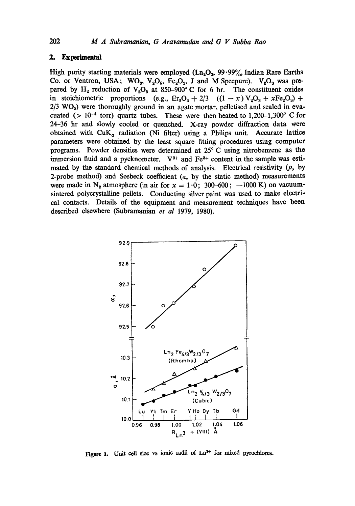# **2. Experimental**

High purity starting materials were employed  $(Ln_2O_3, 99.99\%$ , Indian Rare Earths Co. or Ventron, USA;  $WO_3$ ,  $V_2O_5$ ,  $Fe_2O_3$ , J and M Specpure).  $V_2O_3$  was prepared by  $H_2$  reduction of  $V_2O_5$  at 850-900° C for 6 hr. The constituent oxides in stoichiometric proportions (e.g.,  $E_r=Q_3 + 2/3$  ((1 - x)  $V_2O_3 + xFe_2O_3$ ) +  $2/3$  WO<sub>3</sub>) were thoroughly ground in an agate mortar, pelletised and sealed in evacuated ( $> 10^{-4}$  torr) quartz tubes. These were then heated to 1,200-1,300° C for 24-36 hr and slowly cooled or quenched. X-ray powder diffraction data were obtained with  $CuK_a$  radiation (Ni filter) using a Philips unit. Accurate lattice parameters were obtained by the least square fitting procedures using computer programs. Powder densities were determined at 25°C using uitrobenzene as the immersion fluid and a pycknometer.  $V^{3+}$  and  $Fe^{3+}$  content in the sample was estimated by the standard chemical methods of analysis. Electrical resistivity  $(\rho,$  by 2-probe method) and Seebeck coefficient  $(a, b)$  the static method) measurements were made in N<sub>2</sub> atmosphere (in air for  $x = 1.0$ ; 300-600; -1000 K) on vacuumsintered polycrystalline pellets. Conducting silver paint was used to make electrical contacts. Details of the equipment and measurement teclmiques have been described elsewhere (Subramanian *et al* 1979, 1980).



Figure 1. Unit cell size vs ionic radii of  $Ln<sup>3+</sup>$  for mixed pyrochlores.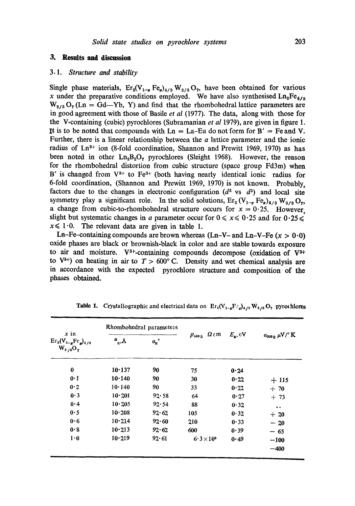# **3. Results and discussion**

## *3.1. Structure and stability*

Single phase materials,  $Er_2(V_{1-a} Fe_{a})_{4/3} W_{2/3} O_7$ , have been obtained for various x under the preparative conditions employed. We have also synthesised  $\text{Ln}_2\text{Fe}_{4/3}$  $W_{2/3}O_7$  (Ln = Gd-Yb, Y) and find that the rhombohedral lattice parameters are in good agreement with those of Basile *et al* (1977). The data, along with those for the V-containing (cubic) pyrochlores (Subramanian *et al* 1979), are given in figure 1. It is to be noted that compounds with  $Ln = La-Eu$  do not form for  $B' = Fe$  and V. Further, there is a linear relationship between the a lattice parameter and the ionic radius of  $Ln^{3+}$  ion (8-fold coordination, Shannon and Prewitt 1969, 1970) as has been noted in other  $Ln_2B_2O_7$  pyrochlores (Sleight 1968). However, the reason for the rhombohedral distortion from cubic structure (space group Fd3m) when B' is changed from  $V^{3+}$  to Fe<sup>3+</sup> (both having nearly identical ionic radius for 6-fold coordination, (Shannon and Prewitt 1969, 1970) is not known. Probably, factors due to the changes in electronic configuration  $(d^2 \text{ vs } d^5)$  and local site symmetry play a significant role. In the solid solutions,  $\text{Er}_{2}(V_{1-x} \text{ Fe}_{a})_{4/3} W_{2/3} O_{7}$ , a change from cubic-to-rhombohedral structure occurs for  $x = 0.25$ . However, slight but systematic changes in a parameter occur for  $0 \le x \le 0.25$  and for  $0.25 \le$  $x \leq 1.0$ . The relevant data are given in table 1.

Ln-Fe-containing compounds are brown whereas (Ln-V- and Ln-V-Fe  $(x > 0.0)$ ) oxide phases are black or brownish-black in color and are stable towards exposure to air and moisture.  $V^{3+}$ -containing compounds decompose (oxidation of  $V^{3+}$ to  $V^{5+}$ ) on heating in air to  $T > 600^{\circ}$  C. Density and wet chemical analysis are in accordance with the expected pyrochlore structure and composition of the phases obtained.

| $x$ in<br>$\text{Er}_{2}(\mathbf{V}_{1-g}\text{Fe}_{g})_{4/3}$<br>$W_{2/3}O_7$ | Rhombohedral parameteis |                     |                                      |                  |                                        |
|--------------------------------------------------------------------------------|-------------------------|---------------------|--------------------------------------|------------------|----------------------------------------|
|                                                                                | $a_{R,\text{\AA}}$      | $a_{\rm R}^{\circ}$ | $\rho_{\mathfrak{so}_k}$ $\Omega$ cm | $E_{\rm a}$ , cV | ${a_{300}}_k$ $\mu\mathrm{V/}^\circ$ K |
| $\bf{0}$                                                                       | 10.137                  | 90                  | 75                                   | 0.24             |                                        |
| 0·1                                                                            | 10.140                  | 90                  | 30                                   | 0.22             | $+115$                                 |
| 0.2                                                                            | 10.140                  | 90                  | 33                                   | 0.22             | $+70$                                  |
| 0.3                                                                            | 10.201                  | 92.58               | 64                                   | 0.27             | $+73$                                  |
| 0.4                                                                            | 10.205                  | 92.54               | 88                                   | 0.32             | $\ddot{\bullet}$                       |
| 0.5                                                                            | 10.208                  | 92.62               | 105                                  | 0.32             | $+20$                                  |
| 0.6                                                                            | 10.214                  | 92.60               | 210                                  | 0.33             | $-20$                                  |
| 0.8                                                                            | 10.213                  | 92.62               | 600                                  | 0.39             | $-65$                                  |
| $1 \cdot 0$                                                                    | 10.219                  | 92.61               | $6.3\times10^{5}$                    | 0.49             | $-100$                                 |
|                                                                                |                         |                     |                                      |                  | $-400$                                 |

**Table 1.** Crystallographic and electrical data on  $E r_2(V_{1-g}F_{\cdot g})_{4/3} W_{2/3} O_7$  pyrothlores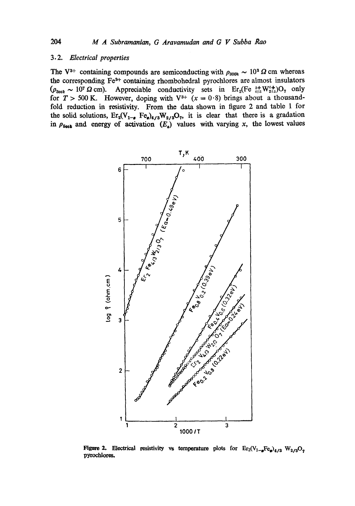#### *3.2. Electrical properties*

The V<sup>3+</sup> containing compounds are semiconducting with  $\rho_{300k} \sim 10^3 \Omega$  cm whereas the corresponding Fe<sup>3+</sup> containing rhombohedral pyrochlores are almost insulators  $(\rho_{300k} \sim 10^7 \Omega \text{ cm})$ . Appreciable conductivity sets in Er<sub>2</sub>(Fe  $^{3+}_{413} \text{W}^{6+}_{213}$ )O<sub>7</sub> only for  $T > 500$  K. However, doping with  $V^{3+}$   $(x = 0.8)$  brings about a thousandfold reduction in resistivity. From the data shown in figure 2 and table 1 for the solid solutions,  $Er_2(V_{1-\sigma} Fe_{\sigma})_{4/3}W_{2/3}O_7$ , it is clear that there is a gradation in  $\rho_{500k}$  and energy of activation  $(E_a)$  values with varying x, the lowest values



Figure 2. Electrical resistivity vs temperature plots for  $Er_2(V_{1-\alpha}Fe_{\alpha})_{4/3}$   $W_{2/3}O_7$ pyrochlores.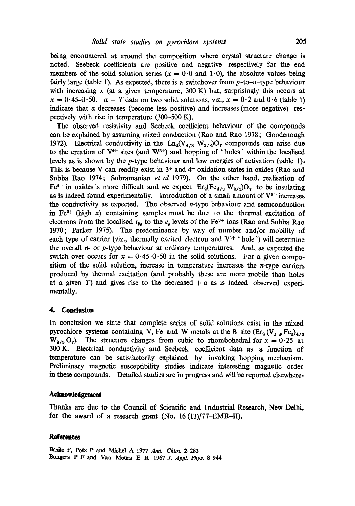being encountered at around the composition where crystal structure change is noted. Seebeek coefficients are positive and negative respectively for the end members of the solid solution series ( $x = 0.0$  and 1.0), the absolute values being fairly large (table 1). As expected, there is a switchover from  $p$ -to- $n$ -type behaviour with increasing  $x$  (at a given temperature, 300 K) but, surprisingly this occurs at  $x = 0.45-0.50$ .  $a - T$  data on two solid solutions, viz.,  $x = 0.2$  and  $0.6$  (table 1) indicate that a decreases (become less positive) and increases (more negative) respectively with rise in temperature (300-500 K).

The observed resistivity and Seebeck coefficient behaviour of the compounds can be explained by assuming mixed conduction (Rao and Rao 1978 ; Goodenough 1972). Electrical conductivity in the Ln<sub>2</sub>(V<sub>4/3</sub> W<sub>2/3</sub>)O<sub>7</sub> compounds can arise due to the creation of  $V^{4+}$  sites (and  $W^{5+}$ ) and hopping of 'holes' within the localised levels as is shown by the p-type behaviour and low energies of activation (table 1). This is because V can readily exist in  $3<sup>+</sup>$  and  $4<sup>+</sup>$  oxidation states in oxides (Rao and Subba Rao 1974; Subramanian *et al* 1979). On the other hand, realisation of Fe<sup>4+</sup> in oxides is more difficult and we expect  $\text{Er}_2(\text{Fe}_{4/3} \text{W}_{2/3})\text{O}_7$  to be insulating as is indeed found experimentally. Introduction of a small amount of  $V^{3+}$  increases the conductivity as expected. The observed  $n$ -type behaviour and semiconduction in  $Fe<sup>3+</sup>$  (high x) containing samples must be due to the thermal excitation of electrons from the localised  $t_{2g}$  to the  $e_g$  levels of the Fe<sup>3+</sup> ions (Rao and Subba Rao 1970; Parker 1975). The predominance by way of number and/or mobility of each type of carrier (viz., thermally excited electron and  $V<sup>4+</sup>$  'hole ') will determine the overall  $n-$  or p-type behaviour at ordinary temperatures. And, as expected the switch over occurs for  $x = 0.45-0.50$  in the solid solutions. For a given composition of the solid solution, increase in temperature increases the  $n$ -type carriers produced by thermal excitation (and probably these are more mobile than holes at a given T) and gives rise to the decreased  $+ a$  as is indeed observed experimentally.

# **4. Conclusion**

In conclusion we state that complete series of solid solutions exist in the mixed pyrochlore systems containing V, Fe and W metals at the B site  $(Er_2 (V_{1-e} Fe_2)_{4/3})$  $W_{2/3}O_7$ ). The structure changes from cubic to rhombohedral for  $x = 0.25$  at 300 K. Electrical conductivity and Seebeck coefficient data as a function of temperature can be satisfactorily explained by invoking hopping mechanism. Preliminary magnetic susceptibility studies indicate interesting magnetic order in these compounds. Detailed studies are in progress and will be reported elsewhere.

#### **Acknowledgement**

Thanks are due to the Council of Scientific and Industrial Research, New Delhi, for the award of a research grant (No. 16(13)/77-EMR-II).

#### **References**

Basile F, Poix P and Michel A 1977 *Ann. Chim.* 2 283 Bongers P F and Van Meurs E R 1967 J. *AppL Phys. 8 944*